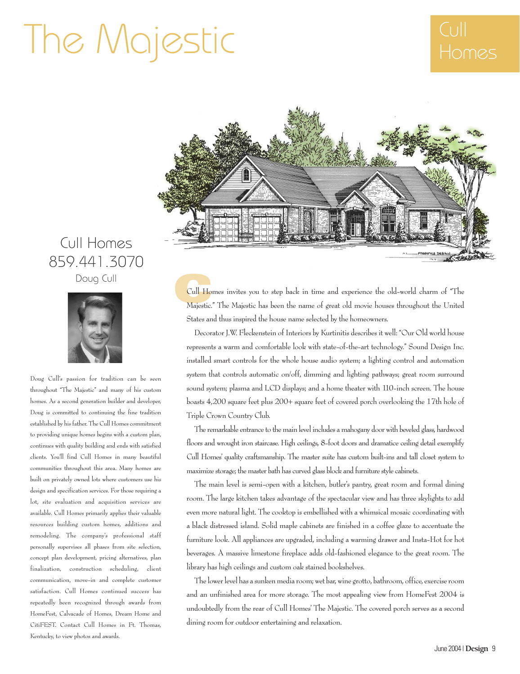## The Majestic

# Homes



### Cull Homes 859.441.3070 Doug Cull



Doug Cull's passion for tradition can be seen throughout "The Majestic" and many of his custom homes. As a second generation builder and developer, Doug is committed to continuing the fine tradition established by his father. The Cull Homes commitment to providing unique homes begins with a custom plan, continues with quality building and ends with satisfied clients. You'll find Cull Homes in many beautiful communities throughout this area. Many homes are built on privately owned lots where customers use his design and specification services. For those requiring a lot, site evaluation and acquisition services are available. Cull Homes primarily applies their valuable resources building custom homes, additions and remodeling. The company's professional staff personally supervises all phases from site selection, concept plan development, pricing alternatives, plan finalization, construction scheduling, client communication, move-in and complete customer satisfaction. Cull Homes continued success has repeatedly been recognized through awards from HomeFest, Calvacade of Homes, Dream Home and CitiFEST. Contact Cull Homes in Ft. Thomas, Kentucky, to view photos and awards.

**C**Cull Homes invites you to step back in time and experience the old-world charm of "The Majestic." The Majestic has been the name of great old movie houses throughout the United States and thus inspired the house name selected by the homeowners.

Decorator J.W. Fleckenstein of Interiors by Kurtinitis describes it well: "Our Old world house represents a warm and comfortable look with state-of-the-art technology." Sound Design Inc. installed smart controls for the whole house audio system; a lighting control and automation system that controls automatic on/off, dimming and lighting pathways; great room surround sound system; plasma and LCD displays; and a home theater with 110-inch screen. The house boasts 4,200 square feet plus 200+ square feet of covered porch overlooking the 17th hole of Triple Crown Country Club.

The remarkable entrance to the main level includes a mahogany door with beveled glass, hardwood floors and wrought iron staircase. High ceilings, 8-foot doors and dramatice ceiling detail exemplify Cull Homes' quality craftsmanship. The master suite has custom built-ins and tall closet system to maximize storage; the master bath has curved glass block and furniture style cabinets.

The main level is semi-open with a kitchen, butler's pantry, great room and formal dining room. The large kitchen takes advantage of the spectacular view and has three skylights to add even more natural light. The cooktop is embellished with a whimsical mosaic coordinating with a black distressed island. Solid maple cabinets are finished in a coffee glaze to accentuate the furniture look. All appliances are upgraded, including a warming drawer and Insta-Hot for hot beverages. A massive limestone fireplace adds old-fashioned elegance to the great room. The library has high ceilings and custom oak stained bookshelves.

The lower level has a sunken media room; wet bar, wine grotto, bathroom, office, exercise room and an unfinished area for more storage. The most appealing view from HomeFest 2004 is undoubtedly from the rear of Cull Homes' The Majestic. The covered porch serves as a second dining room for outdoor entertaining and relaxation.